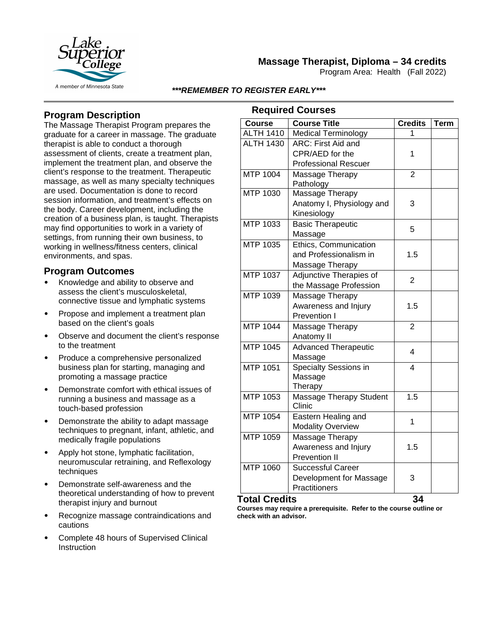

# **Massage Therapist, Diploma – 34 credits**

Program Area: Health (Fall 2022)

*\*\*\*REMEMBER TO REGISTER EARLY\*\*\**

# **Program Description**

The Massage Therapist Program prepares the graduate for a career in massage. The graduate therapist is able to conduct a thorough assessment of clients, create a treatment plan, implement the treatment plan, and observe the client's response to the treatment. Therapeutic massage, as well as many specialty techniques are used. Documentation is done to record session information, and treatment's effects on the body. Career development, including the creation of a business plan, is taught. Therapists may find opportunities to work in a variety of settings, from running their own business, to working in wellness/fitness centers, clinical environments, and spas.

## **Program Outcomes**

- Knowledge and ability to observe and assess the client's musculoskeletal, connective tissue and lymphatic systems
- Propose and implement a treatment plan based on the client's goals
- Observe and document the client's response to the treatment
- Produce a comprehensive personalized business plan for starting, managing and promoting a massage practice
- Demonstrate comfort with ethical issues of running a business and massage as a touch-based profession
- Demonstrate the ability to adapt massage techniques to pregnant, infant, athletic, and medically fragile populations
- Apply hot stone, lymphatic facilitation, neuromuscular retraining, and Reflexology techniques
- Demonstrate self-awareness and the theoretical understanding of how to prevent therapist injury and burnout
- Recognize massage contraindications and cautions
- Complete 48 hours of Supervised Clinical **Instruction**

### **Required Courses**

| <b>Course</b>    | <b>Course Title</b>          | <b>Credits</b> | <b>Term</b> |
|------------------|------------------------------|----------------|-------------|
| <b>ALTH 1410</b> | <b>Medical Terminology</b>   |                |             |
| <b>ALTH 1430</b> | ARC: First Aid and           |                |             |
|                  | CPR/AED for the              | 1              |             |
|                  | <b>Professional Rescuer</b>  |                |             |
| MTP 1004         | Massage Therapy              | 2              |             |
|                  | Pathology                    |                |             |
| MTP 1030         | Massage Therapy              |                |             |
|                  | Anatomy I, Physiology and    | 3              |             |
|                  | Kinesiology                  |                |             |
| MTP 1033         | <b>Basic Therapeutic</b>     | 5              |             |
|                  | Massage                      |                |             |
| MTP 1035         | Ethics, Communication        |                |             |
|                  | and Professionalism in       | 1.5            |             |
|                  | Massage Therapy              |                |             |
| MTP 1037         | Adjunctive Therapies of      | $\overline{2}$ |             |
|                  | the Massage Profession       |                |             |
| MTP 1039         | Massage Therapy              |                |             |
|                  | Awareness and Injury         | 1.5            |             |
|                  | Prevention I                 |                |             |
| MTP 1044         | Massage Therapy              | $\overline{2}$ |             |
|                  | Anatomy II                   |                |             |
| MTP 1045         | <b>Advanced Therapeutic</b>  | 4              |             |
|                  | Massage                      |                |             |
| MTP 1051         | <b>Specialty Sessions in</b> | 4              |             |
|                  | Massage                      |                |             |
|                  | Therapy                      |                |             |
| <b>MTP 1053</b>  | Massage Therapy Student      | 1.5            |             |
|                  | Clinic                       |                |             |
| MTP 1054         | Eastern Healing and          | 1              |             |
|                  | <b>Modality Overview</b>     |                |             |
| MTP 1059         | Massage Therapy              |                |             |
|                  | Awareness and Injury         | 1.5            |             |
|                  | <b>Prevention II</b>         |                |             |
| MTP 1060         | <b>Successful Career</b>     |                |             |
|                  | Development for Massage      | 3              |             |
|                  | Practitioners                |                |             |

### **Total Credits 34**

**Courses may require a prerequisite. Refer to the course outline or check with an advisor.**